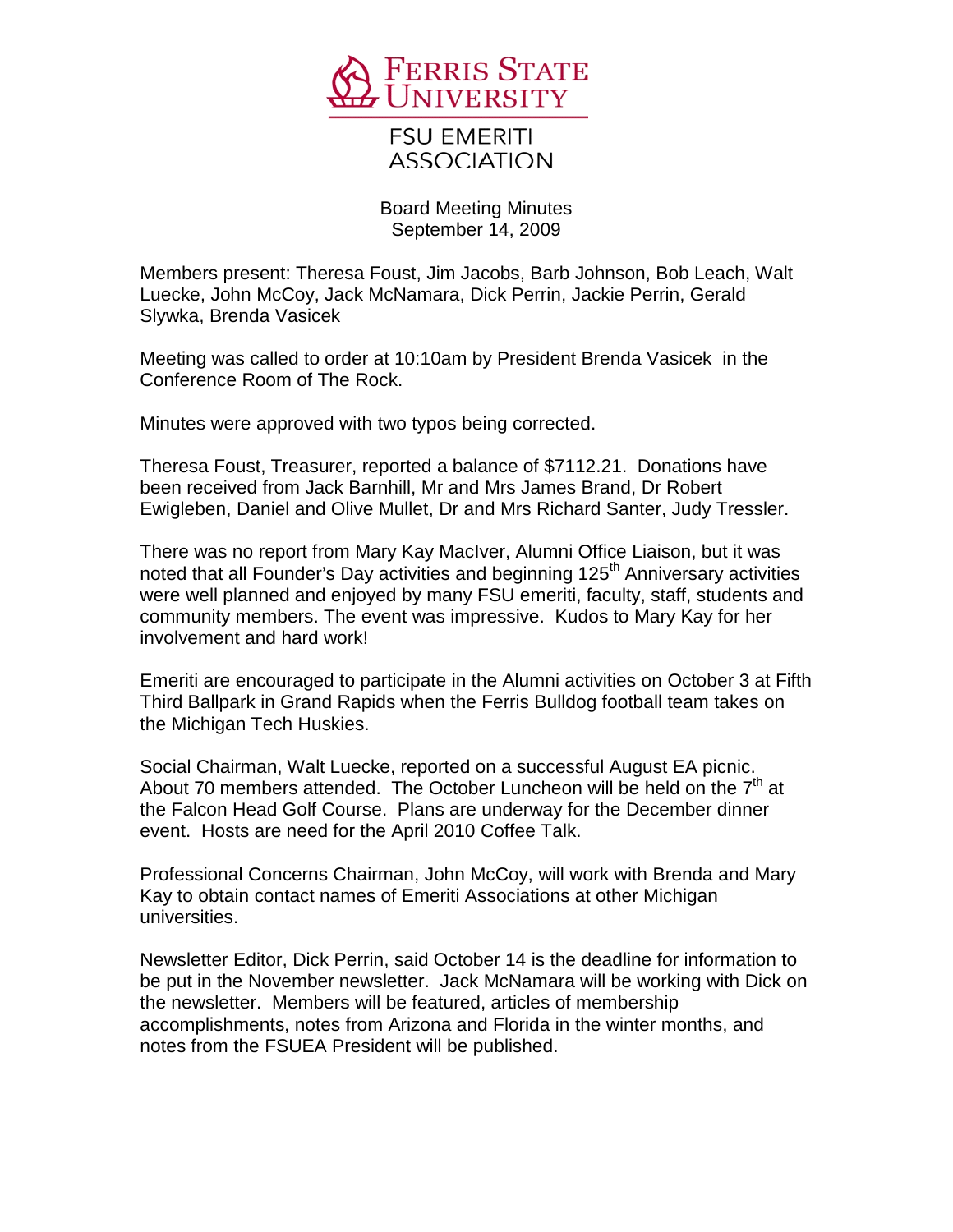

**FSU EMERITI ASSOCIATION** 

Board Meeting Minutes September 14, 2009

Members present: Theresa Foust, Jim Jacobs, Barb Johnson, Bob Leach, Walt Luecke, John McCoy, Jack McNamara, Dick Perrin, Jackie Perrin, Gerald Slywka, Brenda Vasicek

Meeting was called to order at 10:10am by President Brenda Vasicek in the Conference Room of The Rock.

Minutes were approved with two typos being corrected.

Theresa Foust, Treasurer, reported a balance of \$7112.21. Donations have been received from Jack Barnhill, Mr and Mrs James Brand, Dr Robert Ewigleben, Daniel and Olive Mullet, Dr and Mrs Richard Santer, Judy Tressler.

There was no report from Mary Kay MacIver, Alumni Office Liaison, but it was noted that all Founder's Day activities and beginning 125<sup>th</sup> Anniversary activities were well planned and enjoyed by many FSU emeriti, faculty, staff, students and community members. The event was impressive. Kudos to Mary Kay for her involvement and hard work!

Emeriti are encouraged to participate in the Alumni activities on October 3 at Fifth Third Ballpark in Grand Rapids when the Ferris Bulldog football team takes on the Michigan Tech Huskies.

Social Chairman, Walt Luecke, reported on a successful August EA picnic. About 70 members attended. The October Luncheon will be held on the  $7<sup>th</sup>$  at the Falcon Head Golf Course. Plans are underway for the December dinner event. Hosts are need for the April 2010 Coffee Talk.

Professional Concerns Chairman, John McCoy, will work with Brenda and Mary Kay to obtain contact names of Emeriti Associations at other Michigan universities.

Newsletter Editor, Dick Perrin, said October 14 is the deadline for information to be put in the November newsletter. Jack McNamara will be working with Dick on the newsletter. Members will be featured, articles of membership accomplishments, notes from Arizona and Florida in the winter months, and notes from the FSUEA President will be published.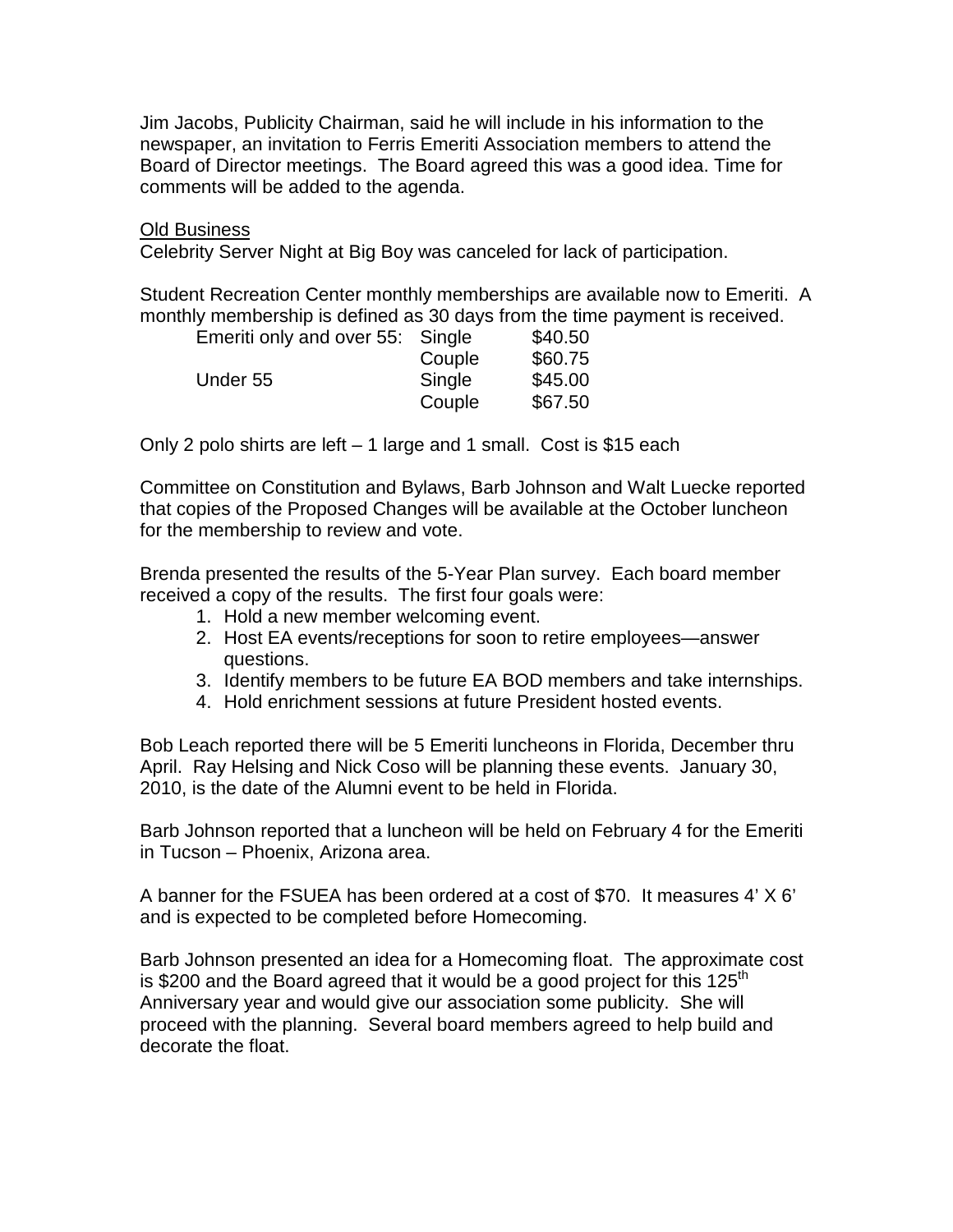Jim Jacobs, Publicity Chairman, said he will include in his information to the newspaper, an invitation to Ferris Emeriti Association members to attend the Board of Director meetings. The Board agreed this was a good idea. Time for comments will be added to the agenda.

## Old Business

Celebrity Server Night at Big Boy was canceled for lack of participation.

Student Recreation Center monthly memberships are available now to Emeriti. A monthly membership is defined as 30 days from the time payment is received.

| Emeriti only and over 55: Single |        | \$40.50 |
|----------------------------------|--------|---------|
|                                  | Couple | \$60.75 |
| Under 55                         | Single | \$45.00 |
|                                  | Couple | \$67.50 |

Only 2 polo shirts are left – 1 large and 1 small. Cost is \$15 each

Committee on Constitution and Bylaws, Barb Johnson and Walt Luecke reported that copies of the Proposed Changes will be available at the October luncheon for the membership to review and vote.

Brenda presented the results of the 5-Year Plan survey. Each board member received a copy of the results. The first four goals were:

- 1. Hold a new member welcoming event.
- 2. Host EA events/receptions for soon to retire employees—answer questions.
- 3. Identify members to be future EA BOD members and take internships.
- 4. Hold enrichment sessions at future President hosted events.

Bob Leach reported there will be 5 Emeriti luncheons in Florida, December thru April. Ray Helsing and Nick Coso will be planning these events. January 30, 2010, is the date of the Alumni event to be held in Florida.

Barb Johnson reported that a luncheon will be held on February 4 for the Emeriti in Tucson – Phoenix, Arizona area.

A banner for the FSUEA has been ordered at a cost of \$70. It measures 4' X 6' and is expected to be completed before Homecoming.

Barb Johnson presented an idea for a Homecoming float. The approximate cost is \$200 and the Board agreed that it would be a good project for this 125<sup>th</sup> Anniversary year and would give our association some publicity. She will proceed with the planning. Several board members agreed to help build and decorate the float.